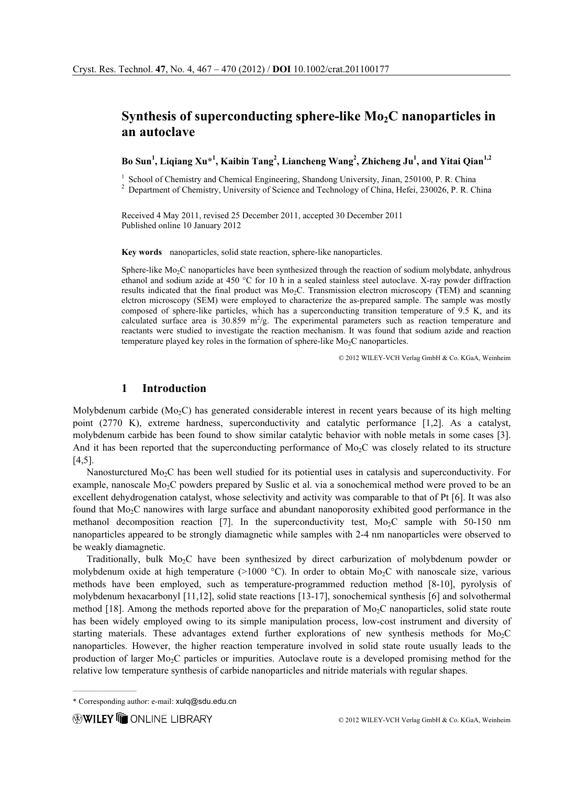# Synthesis of superconducting sphere-like  $Mo<sub>2</sub>C$  nanoparticles in an autoclave

Bo Sun<sup>1</sup>, Liqiang Xu\*<sup>1</sup>, Kaibin Tang<sup>2</sup>, Liancheng Wang<sup>2</sup>, Zhicheng Ju<sup>1</sup>, and Yitai Qian<sup>1,2</sup>

 $1$  School of Chemistry and Chemical Engineering, Shandong University, Jinan, 250100, P. R. China

<sup>2</sup> Department of Chemistry, University of Science and Technology of China, Hefei, 230026, P. R. China

Received 4 May 2011, revised 25 December 2011, accepted 30 December 2011 Published online 10 January 2012

Key words nanoparticles, solid state reaction, sphere-like nanoparticles.

Sphere-like Mo<sub>2</sub>C nanoparticles have been synthesized through the reaction of sodium molybdate, anhydrous ethanol and sodium azide at 450 °C for 10 h in a sealed stainless steel autoclave. X-ray powder diffraction results indicated that the final product was  $Mo<sub>2</sub>C$ . Transmission electron microscopy (TEM) and scanning elctron microscopy (SEM) were employed to characterize the as-prepared sample. The sample was mostly composed of sphere-like particles, which has a superconducting transition temperature of 9.5 K, and its calculated surface area is  $30.859 \text{ m}^2/\text{g}$ . The experimental parameters such as reaction temperature and reactants were studied to investigate the reaction mechanism. It was found that sodium azide and reaction temperature played key roles in the formation of sphere-like  $Mo<sub>2</sub>C$  nanoparticles.

© 2012 WILEY-VCH Verlag GmbH & Co. KGaA, Weinheim

#### 1 Introduction

Molybdenum carbide  $(Mo<sub>2</sub>C)$  has generated considerable interest in recent years because of its high melting point (2770 K), extreme hardness, superconductivity and catalytic performance [1,2]. As a catalyst, molybdenum carbide has been found to show similar catalytic behavior with noble metals in some cases [3]. And it has been reported that the superconducting performance of  $Mo<sub>2</sub>C$  was closely related to its structure [4,5].

Nanosturctured Mo<sub>2</sub>C has been well studied for its potiential uses in catalysis and superconductivity. For example, nanoscale Mo<sub>2</sub>C powders prepared by Suslic et al. via a sonochemical method were proved to be an excellent dehydrogenation catalyst, whose selectivity and activity was comparable to that of Pt [6]. It was also found that Mo2C nanowires with large surface and abundant nanoporosity exhibited good performance in the methanol decomposition reaction [7]. In the superconductivity test,  $Mo<sub>2</sub>C$  sample with 50-150 nm nanoparticles appeared to be strongly diamagnetic while samples with 2-4 nm nanoparticles were observed to be weakly diamagnetic.

Traditionally, bulk Mo2C have been synthesized by direct carburization of molybdenum powder or molybdenum oxide at high temperature (>1000 °C). In order to obtain Mo<sub>2</sub>C with nanoscale size, various methods have been employed, such as temperature-programmed reduction method [8-10], pyrolysis of molybdenum hexacarbonyl [11,12], solid state reactions [13-17], sonochemical synthesis [6] and solvothermal method [18]. Among the methods reported above for the preparation of  $\text{Mo}_2\text{C}$  nanoparticles, solid state route has been widely employed owing to its simple manipulation process, low-cost instrument and diversity of starting materials. These advantages extend further explorations of new synthesis methods for  $Mo_{2}C$ nanoparticles. However, the higher reaction temperature involved in solid state route usually leads to the production of larger Mo2C particles or impurities. Autoclave route is a developed promising method for the relative low temperature synthesis of carbide nanoparticles and nitride materials with regular shapes.

 $\mathcal{L}_\text{max}$ 

<sup>\*</sup> Corresponding author: e-mail: xulq@sdu.edu.cn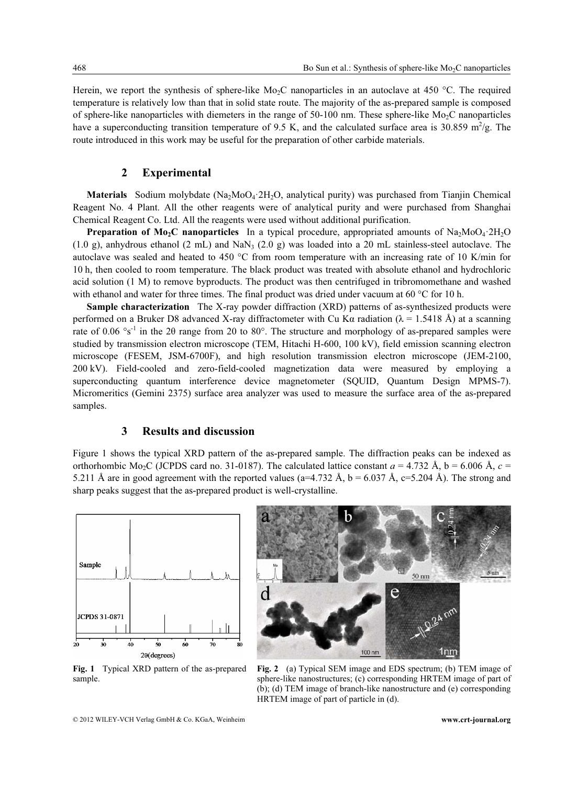Herein, we report the synthesis of sphere-like  $Mo<sub>2</sub>C$  nanoparticles in an autoclave at 450 °C. The required temperature is relatively low than that in solid state route. The majority of the as-prepared sample is composed of sphere-like nanoparticles with diemeters in the range of 50-100 nm. These sphere-like  $Mo<sub>2</sub>C$  nanoparticles have a superconducting transition temperature of 9.5 K, and the calculated surface area is 30.859 m<sup>2</sup>/g. The route introduced in this work may be useful for the preparation of other carbide materials.

## 2 Experimental

**Materials** Sodium molybdate  $(Na_2MO_4.2H_2O$ , analytical purity) was purchased from Tianjin Chemical Reagent No. 4 Plant. All the other reagents were of analytical purity and were purchased from Shanghai Chemical Reagent Co. Ltd. All the reagents were used without additional purification.

**Preparation of Mo<sub>2</sub>C nanoparticles** In a typical procedure, appropriated amounts of Na<sub>2</sub>MoO<sub>4</sub>·2H<sub>2</sub>O  $(1.0 \text{ g})$ , anhydrous ethanol  $(2 \text{ mL})$  and NaN<sub>3</sub>  $(2.0 \text{ g})$  was loaded into a 20 mL stainless-steel autoclave. The autoclave was sealed and heated to 450 °C from room temperature with an increasing rate of 10 K/min for 10 h, then cooled to room temperature. The black product was treated with absolute ethanol and hydrochloric acid solution (1 M) to remove byproducts. The product was then centrifuged in tribromomethane and washed with ethanol and water for three times. The final product was dried under vacuum at 60 °C for 10 h.

Sample characterization The X-ray powder diffraction (XRD) patterns of as-synthesized products were performed on a Bruker D8 advanced X-ray diffractometer with Cu K $\alpha$  radiation ( $\lambda$  = 1.5418 Å) at a scanning rate of 0.06  $\textdegree$ s<sup>-1</sup> in the 20 range from 20 to 80 $\textdegree$ . The structure and morphology of as-prepared samples were studied by transmission electron microscope (TEM, Hitachi H-600, 100 kV), field emission scanning electron microscope (FESEM, JSM-6700F), and high resolution transmission electron microscope (JEM-2100, 200 kV). Field-cooled and zero-field-cooled magnetization data were measured by employing a superconducting quantum interference device magnetometer (SQUID, Quantum Design MPMS-7). Micromeritics (Gemini 2375) surface area analyzer was used to measure the surface area of the as-prepared samples.

#### 3 Results and discussion

Figure 1 shows the typical XRD pattern of the as-prepared sample. The diffraction peaks can be indexed as orthorhombic Mo<sub>2</sub>C (JCPDS card no. 31-0187). The calculated lattice constant  $a = 4.732 \text{ Å}$ ,  $b = 6.006 \text{ Å}$ ,  $c =$ 5.211 Å are in good agreement with the reported values (a=4.732 Å, b = 6.037 Å, c=5.204 Å). The strong and sharp peaks suggest that the as-prepared product is well-crystalline.



Fig. 1 Typical XRD pattern of the as-prepared sample.



Fig. 2 (a) Typical SEM image and EDS spectrum; (b) TEM image of sphere-like nanostructures; (c) corresponding HRTEM image of part of (b); (d) TEM image of branch-like nanostructure and (e) corresponding HRTEM image of part of particle in (d).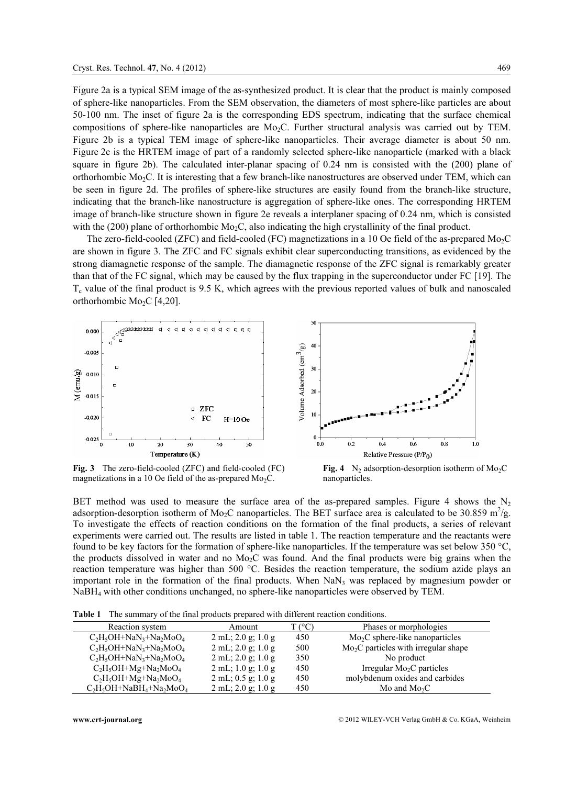Figure 2a is a typical SEM image of the as-synthesized product. It is clear that the product is mainly composed of sphere-like nanoparticles. From the SEM observation, the diameters of most sphere-like particles are about 50-100 nm. The inset of figure 2a is the corresponding EDS spectrum, indicating that the surface chemical compositions of sphere-like nanoparticles are  $Mo_2C$ . Further structural analysis was carried out by TEM. Figure 2b is a typical TEM image of sphere-like nanoparticles. Their average diameter is about 50 nm. Figure 2c is the HRTEM image of part of a randomly selected sphere-like nanoparticle (marked with a black square in figure 2b). The calculated inter-planar spacing of 0.24 nm is consisted with the (200) plane of orthorhombic Mo2C. It is interesting that a few branch-like nanostructures are observed under TEM, which can be seen in figure 2d. The profiles of sphere-like structures are easily found from the branch-like structure, indicating that the branch-like nanostructure is aggregation of sphere-like ones. The corresponding HRTEM image of branch-like structure shown in figure 2e reveals a interplaner spacing of 0.24 nm, which is consisted with the (200) plane of orthorhombic  $Mo<sub>2</sub>C$ , also indicating the high crystallinity of the final product.

The zero-field-cooled (ZFC) and field-cooled (FC) magnetizations in a 10 Oe field of the as-prepared Mo<sub>2</sub>C are shown in figure 3. The ZFC and FC signals exhibit clear superconducting transitions, as evidenced by the strong diamagnetic response of the sample. The diamagnetic response of the ZFC signal is remarkably greater than that of the FC signal, which may be caused by the flux trapping in the superconductor under FC [19]. The  $T_c$  value of the final product is 9.5 K, which agrees with the previous reported values of bulk and nanoscaled orthorhombic  $Mo_2C$  [4,20].



Fig. 3 The zero-field-cooled (ZFC) and field-cooled (FC) magnetizations in a 10 Oe field of the as-prepared  $Mo<sub>2</sub>C$ .

Fig. 4 N<sub>2</sub> adsorption-desorption isotherm of Mo<sub>2</sub>C nanoparticles.

BET method was used to measure the surface area of the as-prepared samples. Figure 4 shows the  $N_2$ adsorption-desorption isotherm of Mo<sub>2</sub>C nanoparticles. The BET surface area is calculated to be 30.859 m<sup>2</sup>/g. To investigate the effects of reaction conditions on the formation of the final products, a series of relevant experiments were carried out. The results are listed in table 1. The reaction temperature and the reactants were found to be key factors for the formation of sphere-like nanoparticles. If the temperature was set below 350 °C, the products dissolved in water and no Mo2C was found. And the final products were big grains when the reaction temperature was higher than 500 °C. Besides the reaction temperature, the sodium azide plays an important role in the formation of the final products. When  $NaN<sub>3</sub>$  was replaced by magnesium powder or NaBH4 with other conditions unchanged, no sphere-like nanoparticles were observed by TEM.

Table 1 The summary of the final products prepared with different reaction conditions.

| $\ldots$ . The summary of the main produces prepared with different reaction conditions. |                                                    |        |                                       |
|------------------------------------------------------------------------------------------|----------------------------------------------------|--------|---------------------------------------|
| Reaction system                                                                          | Amount                                             | T (°C) | Phases or morphologies                |
| $C_2H_5OH + NaN_3 + Na_2MoO_4$                                                           | $2 \text{ mL}$ ; $2.0 \text{ g}$ ; $1.0 \text{ g}$ | 450    | $Mo2C$ sphere-like nanoparticles      |
| $C_2H_5OH + NaN_3 + Na_2MoO_4$                                                           | $2 \text{ mL}$ ; $2.0 \text{ g}$ ; $1.0 \text{ g}$ | 500    | $Mo2C$ particles with irregular shape |
| $C_2H_5OH + NaN_3 + Na_2MoO_4$                                                           | $2 \text{ mL}$ ; $2.0 \text{ g}$ ; $1.0 \text{ g}$ | 350    | No product                            |
| $C_2H_5OH+Mg+Na_2MoO_4$                                                                  | $2$ mL; 1.0 g; 1.0 g                               | 450    | Irregular $Mo2C$ particles            |
| $C_2H_5OH+Mg+Na_2MoO_4$                                                                  | $2 \text{ mL}$ ; 0.5 g; 1.0 g                      | 450    | molybdenum oxides and carbides        |
| $C_2H_5OH + NaBH_4 + Na_2MoO_4$                                                          | $2 \text{ mL}$ ; $2.0 \text{ g}$ ; $1.0 \text{ g}$ | 450    | Mo and $Mo_2C$                        |